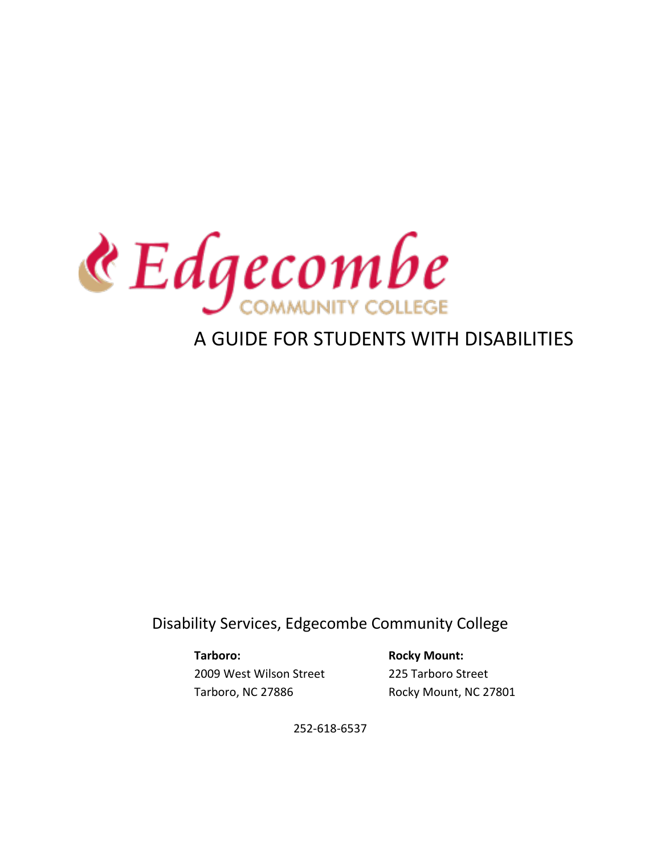

# A GUIDE FOR STUDENTS WITH DISABILITIES

Disability Services, Edgecombe Community College

Tarboro: **Rocky Mount:** 2009 West Wilson Street 225 Tarboro Street Tarboro, NC 27886 Rocky Mount, NC 27801

252-618-6537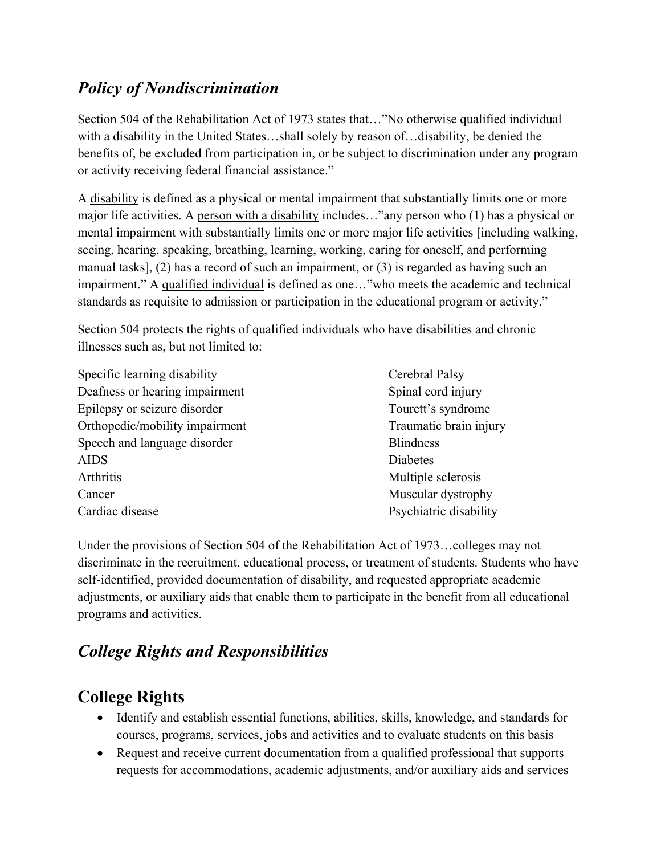## *Policy of Nondiscrimination*

Section 504 of the Rehabilitation Act of 1973 states that…"No otherwise qualified individual with a disability in the United States…shall solely by reason of…disability, be denied the benefits of, be excluded from participation in, or be subject to discrimination under any program or activity receiving federal financial assistance."

A disability is defined as a physical or mental impairment that substantially limits one or more major life activities. A person with a disability includes…"any person who (1) has a physical or mental impairment with substantially limits one or more major life activities [including walking, seeing, hearing, speaking, breathing, learning, working, caring for oneself, and performing manual tasks], (2) has a record of such an impairment, or (3) is regarded as having such an impairment." A qualified individual is defined as one…"who meets the academic and technical standards as requisite to admission or participation in the educational program or activity."

Section 504 protects the rights of qualified individuals who have disabilities and chronic illnesses such as, but not limited to:

- Specific learning disability Cerebral Palsy Deafness or hearing impairment Spinal cord injury Epilepsy or seizure disorder Tourett's syndrome Orthopedic/mobility impairment Traumatic brain injury Speech and language disorder Blindness AIDS Diabetes Arthritis Multiple sclerosis Cancer Muscular dystrophy Cardiac disease Psychiatric disability
	-

Under the provisions of Section 504 of the Rehabilitation Act of 1973…colleges may not discriminate in the recruitment, educational process, or treatment of students. Students who have self-identified, provided documentation of disability, and requested appropriate academic adjustments, or auxiliary aids that enable them to participate in the benefit from all educational programs and activities.

# *College Rights and Responsibilities*

## **College Rights**

- Identify and establish essential functions, abilities, skills, knowledge, and standards for courses, programs, services, jobs and activities and to evaluate students on this basis
- Request and receive current documentation from a qualified professional that supports requests for accommodations, academic adjustments, and/or auxiliary aids and services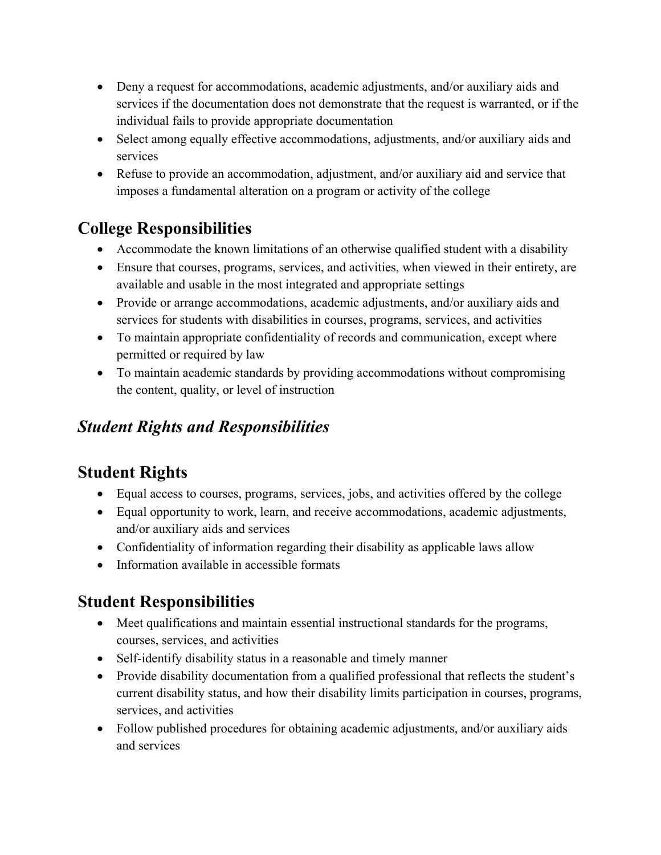- Deny a request for accommodations, academic adjustments, and/or auxiliary aids and services if the documentation does not demonstrate that the request is warranted, or if the individual fails to provide appropriate documentation
- Select among equally effective accommodations, adjustments, and/or auxiliary aids and services
- Refuse to provide an accommodation, adjustment, and/or auxiliary aid and service that imposes a fundamental alteration on a program or activity of the college

## **College Responsibilities**

- Accommodate the known limitations of an otherwise qualified student with a disability
- Ensure that courses, programs, services, and activities, when viewed in their entirety, are available and usable in the most integrated and appropriate settings
- Provide or arrange accommodations, academic adjustments, and/or auxiliary aids and services for students with disabilities in courses, programs, services, and activities
- To maintain appropriate confidentiality of records and communication, except where permitted or required by law
- To maintain academic standards by providing accommodations without compromising the content, quality, or level of instruction

## *Student Rights and Responsibilities*

# **Student Rights**

- Equal access to courses, programs, services, jobs, and activities offered by the college
- Equal opportunity to work, learn, and receive accommodations, academic adjustments, and/or auxiliary aids and services
- Confidentiality of information regarding their disability as applicable laws allow
- Information available in accessible formats

# **Student Responsibilities**

- Meet qualifications and maintain essential instructional standards for the programs, courses, services, and activities
- Self-identify disability status in a reasonable and timely manner
- Provide disability documentation from a qualified professional that reflects the student's current disability status, and how their disability limits participation in courses, programs, services, and activities
- Follow published procedures for obtaining academic adjustments, and/or auxiliary aids and services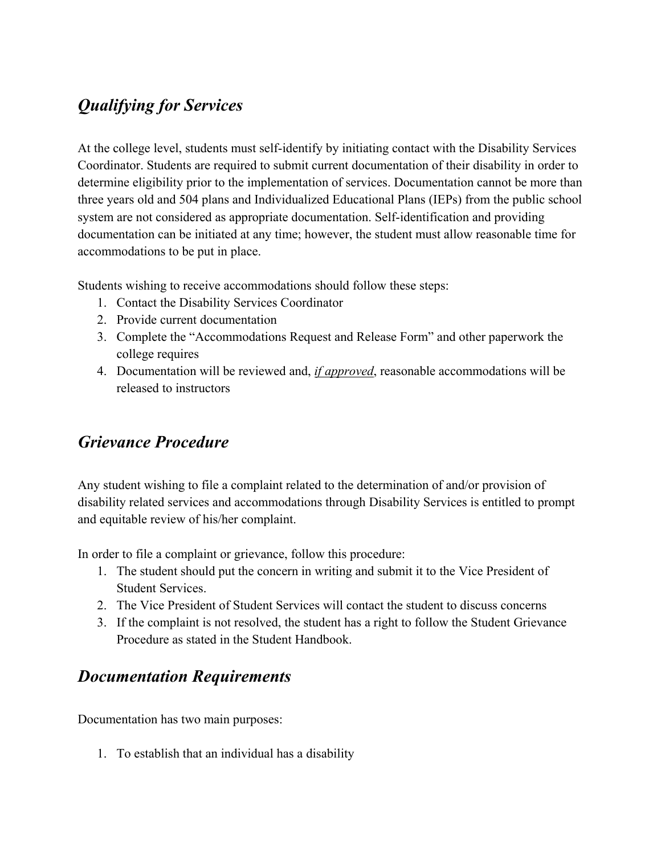## *Qualifying for Services*

At the college level, students must self-identify by initiating contact with the Disability Services Coordinator. Students are required to submit current documentation of their disability in order to determine eligibility prior to the implementation of services. Documentation cannot be more than three years old and 504 plans and Individualized Educational Plans (IEPs) from the public school system are not considered as appropriate documentation. Self-identification and providing documentation can be initiated at any time; however, the student must allow reasonable time for accommodations to be put in place.

Students wishing to receive accommodations should follow these steps:

- 1. Contact the Disability Services Coordinator
- 2. Provide current documentation
- 3. Complete the "Accommodations Request and Release Form" and other paperwork the college requires
- 4. Documentation will be reviewed and, *if approved*, reasonable accommodations will be released to instructors

### *Grievance Procedure*

Any student wishing to file a complaint related to the determination of and/or provision of disability related services and accommodations through Disability Services is entitled to prompt and equitable review of his/her complaint.

In order to file a complaint or grievance, follow this procedure:

- 1. The student should put the concern in writing and submit it to the Vice President of Student Services.
- 2. The Vice President of Student Services will contact the student to discuss concerns
- 3. If the complaint is not resolved, the student has a right to follow the Student Grievance Procedure as stated in the Student Handbook.

### *Documentation Requirements*

Documentation has two main purposes:

1. To establish that an individual has a disability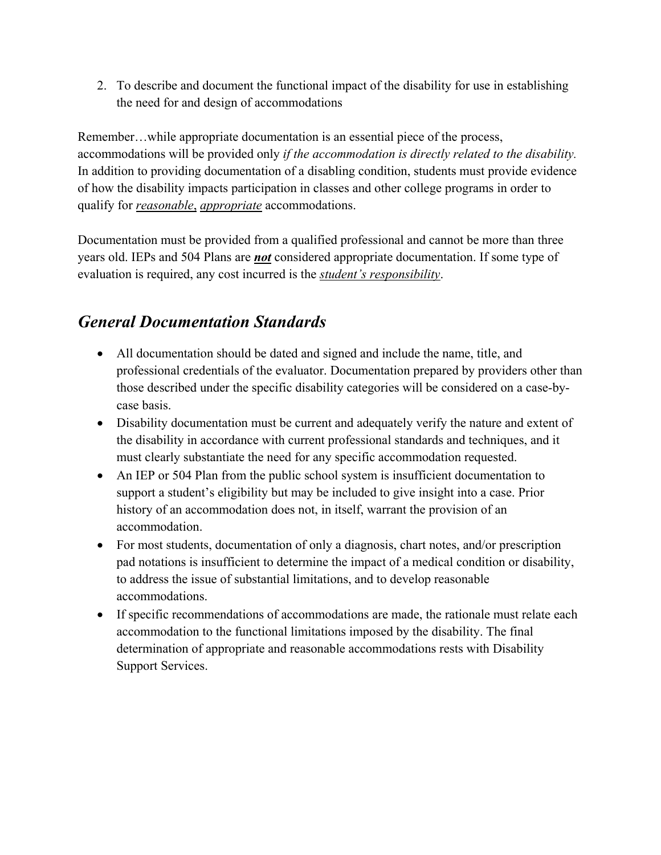2. To describe and document the functional impact of the disability for use in establishing the need for and design of accommodations

Remember…while appropriate documentation is an essential piece of the process, accommodations will be provided only *if the accommodation is directly related to the disability.* In addition to providing documentation of a disabling condition, students must provide evidence of how the disability impacts participation in classes and other college programs in order to qualify for *reasonable*, *appropriate* accommodations.

Documentation must be provided from a qualified professional and cannot be more than three years old. IEPs and 504 Plans are *not* considered appropriate documentation. If some type of evaluation is required, any cost incurred is the *student's responsibility*.

### *General Documentation Standards*

- All documentation should be dated and signed and include the name, title, and professional credentials of the evaluator. Documentation prepared by providers other than those described under the specific disability categories will be considered on a case-bycase basis.
- Disability documentation must be current and adequately verify the nature and extent of the disability in accordance with current professional standards and techniques, and it must clearly substantiate the need for any specific accommodation requested.
- An IEP or 504 Plan from the public school system is insufficient documentation to support a student's eligibility but may be included to give insight into a case. Prior history of an accommodation does not, in itself, warrant the provision of an accommodation.
- For most students, documentation of only a diagnosis, chart notes, and/or prescription pad notations is insufficient to determine the impact of a medical condition or disability, to address the issue of substantial limitations, and to develop reasonable accommodations.
- If specific recommendations of accommodations are made, the rationale must relate each accommodation to the functional limitations imposed by the disability. The final determination of appropriate and reasonable accommodations rests with Disability Support Services.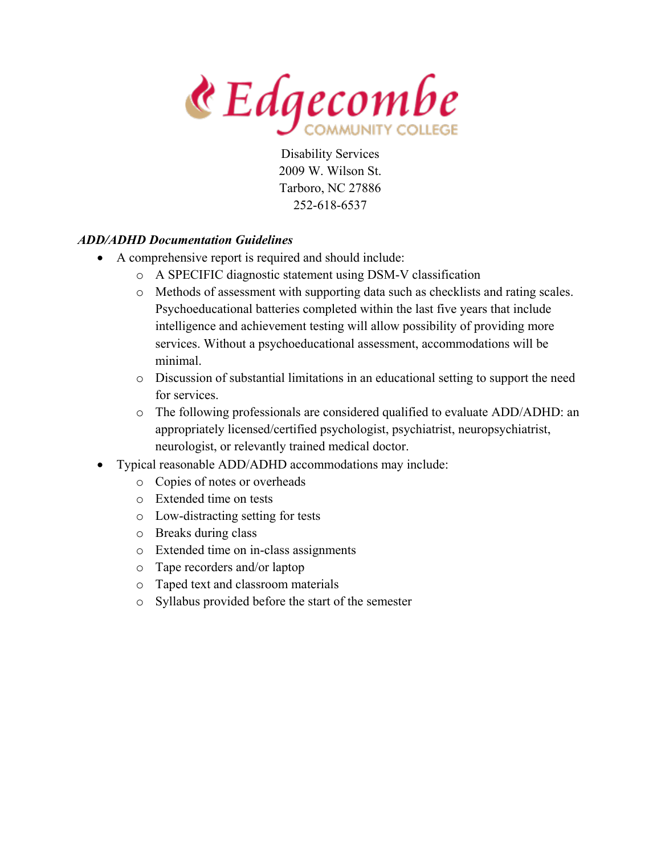$\mathbf{\&}$  Edgecombe

### *ADD/ADHD Documentation Guidelines*

- A comprehensive report is required and should include:
	- o A SPECIFIC diagnostic statement using DSM-V classification
	- o Methods of assessment with supporting data such as checklists and rating scales. Psychoeducational batteries completed within the last five years that include intelligence and achievement testing will allow possibility of providing more services. Without a psychoeducational assessment, accommodations will be minimal.
	- o Discussion of substantial limitations in an educational setting to support the need for services.
	- o The following professionals are considered qualified to evaluate ADD/ADHD: an appropriately licensed/certified psychologist, psychiatrist, neuropsychiatrist, neurologist, or relevantly trained medical doctor.
- Typical reasonable ADD/ADHD accommodations may include:
	- o Copies of notes or overheads
	- o Extended time on tests
	- o Low-distracting setting for tests
	- o Breaks during class
	- o Extended time on in-class assignments
	- o Tape recorders and/or laptop
	- o Taped text and classroom materials
	- o Syllabus provided before the start of the semester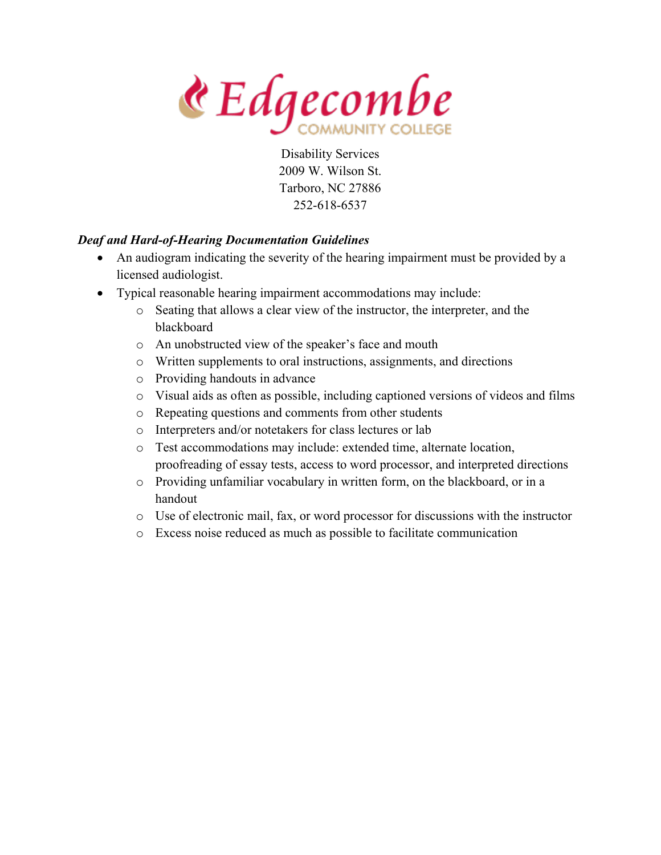& Edgecombe

### *Deaf and Hard-of-Hearing Documentation Guidelines*

- An audiogram indicating the severity of the hearing impairment must be provided by a licensed audiologist.
- Typical reasonable hearing impairment accommodations may include:
	- o Seating that allows a clear view of the instructor, the interpreter, and the blackboard
	- o An unobstructed view of the speaker's face and mouth
	- o Written supplements to oral instructions, assignments, and directions
	- o Providing handouts in advance
	- o Visual aids as often as possible, including captioned versions of videos and films
	- o Repeating questions and comments from other students
	- o Interpreters and/or notetakers for class lectures or lab
	- o Test accommodations may include: extended time, alternate location, proofreading of essay tests, access to word processor, and interpreted directions
	- o Providing unfamiliar vocabulary in written form, on the blackboard, or in a handout
	- o Use of electronic mail, fax, or word processor for discussions with the instructor
	- o Excess noise reduced as much as possible to facilitate communication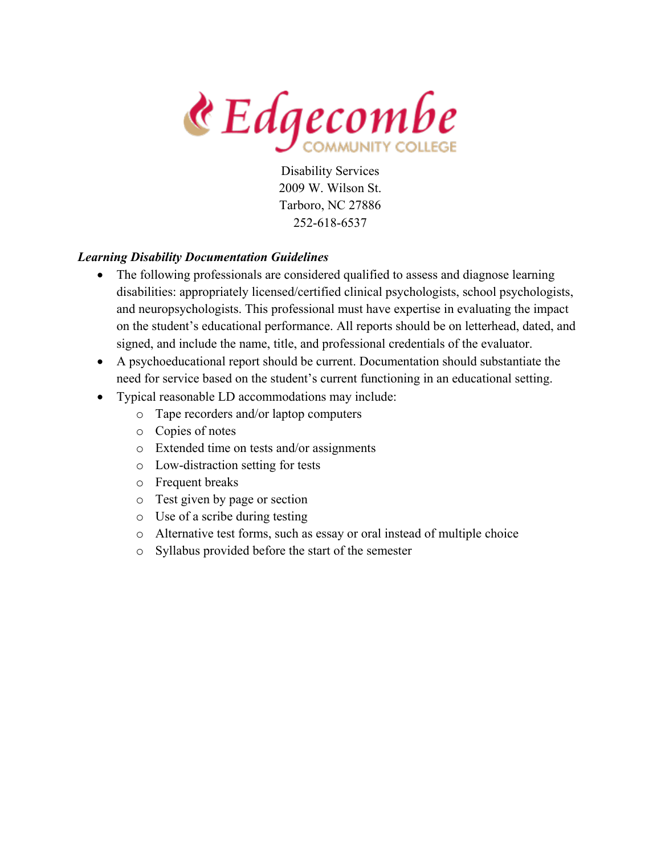& Edgecombe

### *Learning Disability Documentation Guidelines*

- The following professionals are considered qualified to assess and diagnose learning disabilities: appropriately licensed/certified clinical psychologists, school psychologists, and neuropsychologists. This professional must have expertise in evaluating the impact on the student's educational performance. All reports should be on letterhead, dated, and signed, and include the name, title, and professional credentials of the evaluator.
- A psychoeducational report should be current. Documentation should substantiate the need for service based on the student's current functioning in an educational setting.
- Typical reasonable LD accommodations may include:
	- o Tape recorders and/or laptop computers
	- o Copies of notes
	- o Extended time on tests and/or assignments
	- o Low-distraction setting for tests
	- o Frequent breaks
	- o Test given by page or section
	- o Use of a scribe during testing
	- o Alternative test forms, such as essay or oral instead of multiple choice
	- o Syllabus provided before the start of the semester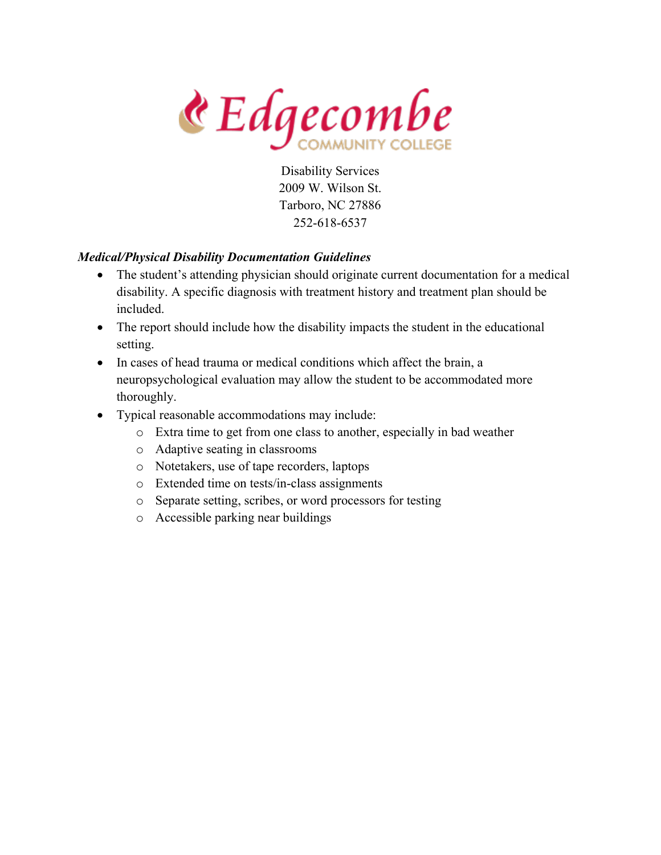& Edgecombe

### *Medical/Physical Disability Documentation Guidelines*

- The student's attending physician should originate current documentation for a medical disability. A specific diagnosis with treatment history and treatment plan should be included.
- The report should include how the disability impacts the student in the educational setting.
- In cases of head trauma or medical conditions which affect the brain, a neuropsychological evaluation may allow the student to be accommodated more thoroughly.
- Typical reasonable accommodations may include:
	- o Extra time to get from one class to another, especially in bad weather
	- o Adaptive seating in classrooms
	- o Notetakers, use of tape recorders, laptops
	- o Extended time on tests/in-class assignments
	- o Separate setting, scribes, or word processors for testing
	- o Accessible parking near buildings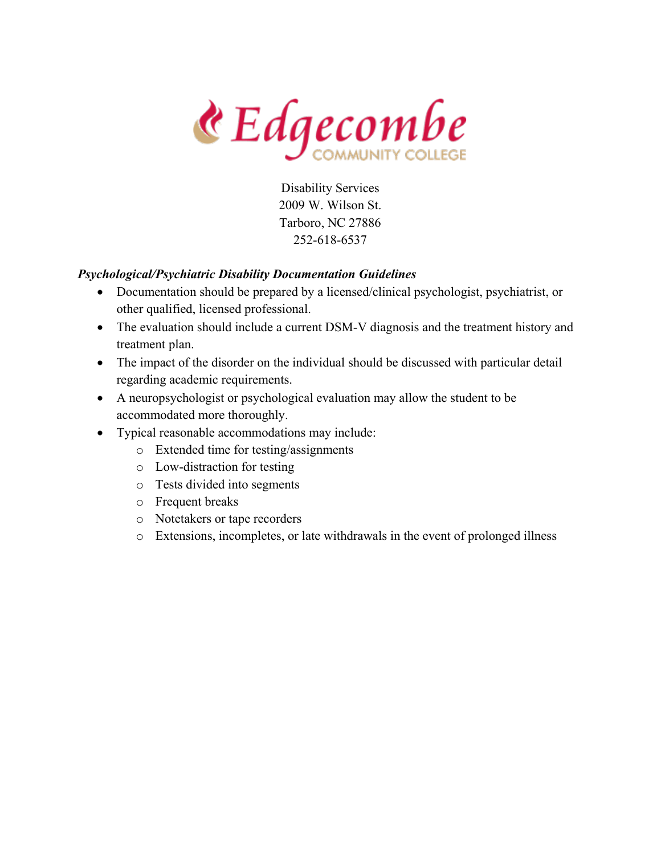& Edgecombe

### *Psychological/Psychiatric Disability Documentation Guidelines*

- Documentation should be prepared by a licensed/clinical psychologist, psychiatrist, or other qualified, licensed professional.
- The evaluation should include a current DSM-V diagnosis and the treatment history and treatment plan.
- The impact of the disorder on the individual should be discussed with particular detail regarding academic requirements.
- A neuropsychologist or psychological evaluation may allow the student to be accommodated more thoroughly.
- Typical reasonable accommodations may include:
	- o Extended time for testing/assignments
	- o Low-distraction for testing
	- o Tests divided into segments
	- o Frequent breaks
	- o Notetakers or tape recorders
	- o Extensions, incompletes, or late withdrawals in the event of prolonged illness